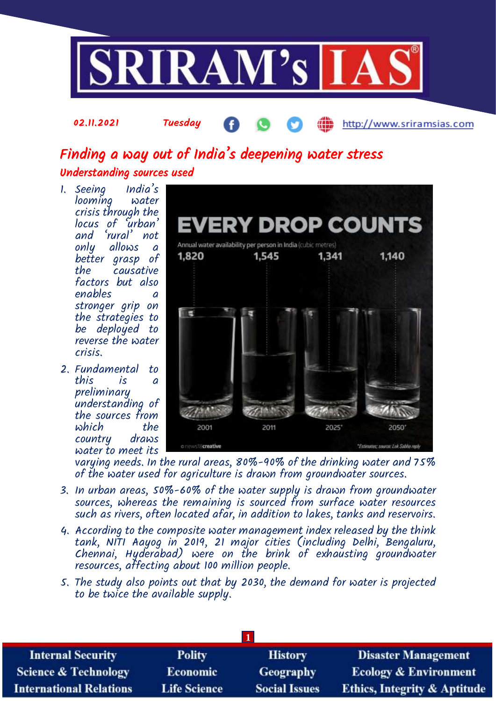

# Finding a way out of India's deepening water stress Understanding sources used

1. Seeing India's looming crisis through the locus of 'urban' and 'rural' not only allows a better grasp of causative factors but also enables a stronger grip on the strategies to be deployed to reverse the water crisis.

02.11.2021 Tuesday

2. Fundamental to this is a preliminary understanding of the sources from which the country draws water to meet its



http://www.sriramsias.com

varying needs. In the rural areas, 80%-90% of the drinking water and 75% of the water used for agriculture is drawn from groundwater sources.

- 3. In urban areas, 50%-60% of the water supply is drawn from groundwater sources, whereas the remaining is sourced from surface water resources such as rivers, often located afar, in addition to lakes, tanks and reservoirs.
- 4. According to the composite water management index released by the think tank, NITI Aayog in 2019, 21 major cities (including Delhi, Bengaluru, Chennai, Hyderabad) were on the brink of exhausting groundwater resources, affecting about 100 million people.
- 5. The study also points out that by 2030, the demand for water is projected to be twice the available supply.

| <b>Internal Security</b>        | <b>Polity</b>       | <b>History</b>       | <b>Disaster Management</b>              |  |  |  |
|---------------------------------|---------------------|----------------------|-----------------------------------------|--|--|--|
| <b>Science &amp; Technology</b> | <b>Economic</b>     | <b>Geography</b>     | <b>Ecology &amp; Environment</b>        |  |  |  |
| <b>International Relations</b>  | <b>Life Science</b> | <b>Social Issues</b> | <b>Ethics, Integrity &amp; Aptitude</b> |  |  |  |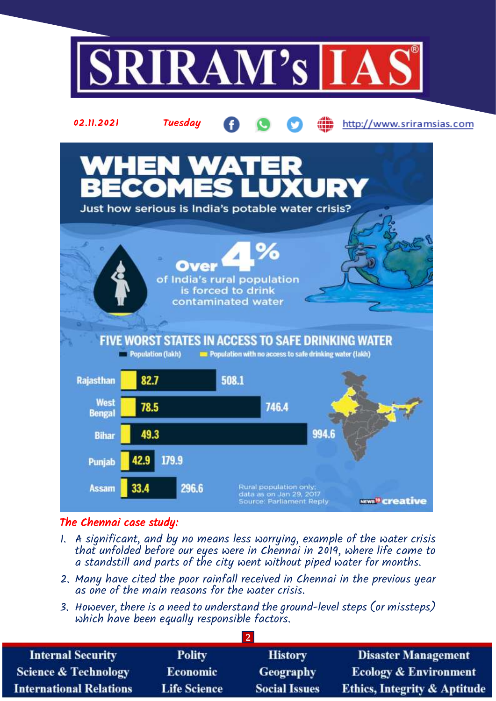

# The Chennai case study:

- 1. A significant, and by no means less worrying, example of the water crisis that unfolded before our eyes were in Chennai in 2019, where life came to a standstill and parts of the city went without piped water for months.
- 2. Many have cited the poor rainfall received in Chennai in the previous year as one of the main reasons for the water crisis.
- 3. However, there is a need to understand the ground-level steps (or missteps) which have been equally responsible factors.

**2**

| <b>Internal Security</b>        | <b>Polity</b>       | <b>History</b>       | <b>Disaster Management</b>              |  |  |  |
|---------------------------------|---------------------|----------------------|-----------------------------------------|--|--|--|
| <b>Science &amp; Technology</b> | <b>Economic</b>     | Geography            | <b>Ecology &amp; Environment</b>        |  |  |  |
| <b>International Relations</b>  | <b>Life Science</b> | <b>Social Issues</b> | <b>Ethics, Integrity &amp; Aptitude</b> |  |  |  |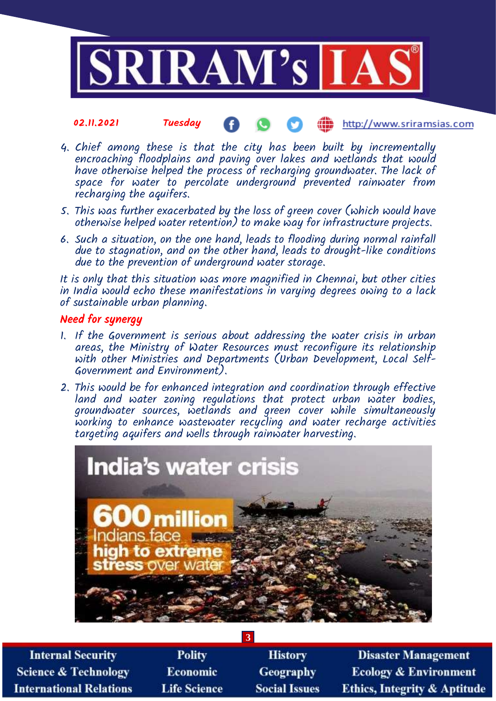

#### 02.11.2021 Tuesday **(iii)** http://www.sriramsias.com

- 4. Chief among these is that the city has been built by incrementally encroaching floodplains and paving over lakes and wetlands that would have otherwise helped the process of recharging groundwater. The lack of space for water to percolate underground prevented rainwater from recharging the aquifers.
- 5. This was further exacerbated by the loss of green cover (which would have otherwise helped water retention) to make way for infrastructure projects.
- 6. Such a situation, on the one hand, leads to flooding during normal rainfall due to stagnation, and on the other hand, leads to drought-like conditions due to the prevention of underground water storage.

It is only that this situation was more magnified in Chennai, but other cities in India would echo these manifestations in varying degrees owing to a lack of sustainable urban planning.

### Need for synergy

- 1. If the Government is serious about addressing the water crisis in urban areas, the Ministry of Water Resources must reconfigure its relationship with other Ministries and Departments (Urban Development, Local Self-Government and Environment).
- 2. This would be for enhanced integration and coordination through effective land and water zoning regulations that protect urban water bodies, groundwater sources, wetlands and green cover while simultaneously working to enhance wastewater recycling and water recharge activities targeting aquifers and wells through rainwater harvesting.



**3**

**Internal Security Science & Technology International Relations** 

**Polity** Economic **Life Science** 

**History** Geography **Social Issues** 

**Disaster Management Ecology & Environment Ethics, Integrity & Aptitude**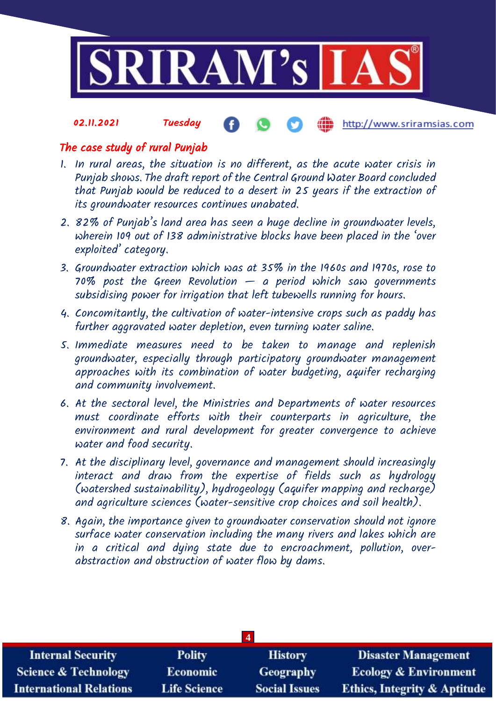

### 02.11.2021 Tuesday http://www.sriramsias.com

## The case study of rural Punjab

- 1. In rural areas, the situation is no different, as the acute water crisis in Punjab shows. The draft report of the Central Ground Water Board concluded that Punjab would be reduced to a desert in 25 years if the extraction of its groundwater resources continues unabated.
- 2. 82% of Punjab's land area has seen a huge decline in groundwater levels, wherein 109 out of 138 administrative blocks have been placed in the 'over exploited' category.
- 3. Groundwater extraction which was at 35% in the 1960s and 1970s, rose to 70% post the Green Revolution  $-$  a period which saw governments subsidising power for irrigation that left tubewells running for hours.
- 4. Concomitantly, the cultivation of water-intensive crops such as paddy has further aggravated water depletion, even turning water saline.
- 5. Immediate measures need to be taken to manage and replenish groundwater, especially through participatory groundwater management approaches with its combination of water budgeting, aquifer recharging and community involvement.
- 6. At the sectoral level, the Ministries and Departments of water resources must coordinate efforts with their counterparts in agriculture, the environment and rural development for greater convergence to achieve water and food security.
- 7. At the disciplinary level, governance and management should increasingly interact and draw from the expertise of fields such as hydrology (watershed sustainability), hydrogeology (aquifer mapping and recharge) and agriculture sciences (water-sensitive crop choices and soil health).
- 8. Again, the importance given to groundwater conservation should not ignore surface water conservation including the many rivers and lakes which are in a critical and dying state due to encroachment, pollution, overabstraction and obstruction of water flow by dams.

| <b>Internal Security</b>        | <b>Polity</b>       | <b>History</b>       | <b>Disaster Management</b>              |  |  |  |
|---------------------------------|---------------------|----------------------|-----------------------------------------|--|--|--|
| <b>Science &amp; Technology</b> | <b>Economic</b>     | Geography            | <b>Ecology &amp; Environment</b>        |  |  |  |
| <b>International Relations</b>  | <b>Life Science</b> | <b>Social Issues</b> | <b>Ethics, Integrity &amp; Aptitude</b> |  |  |  |